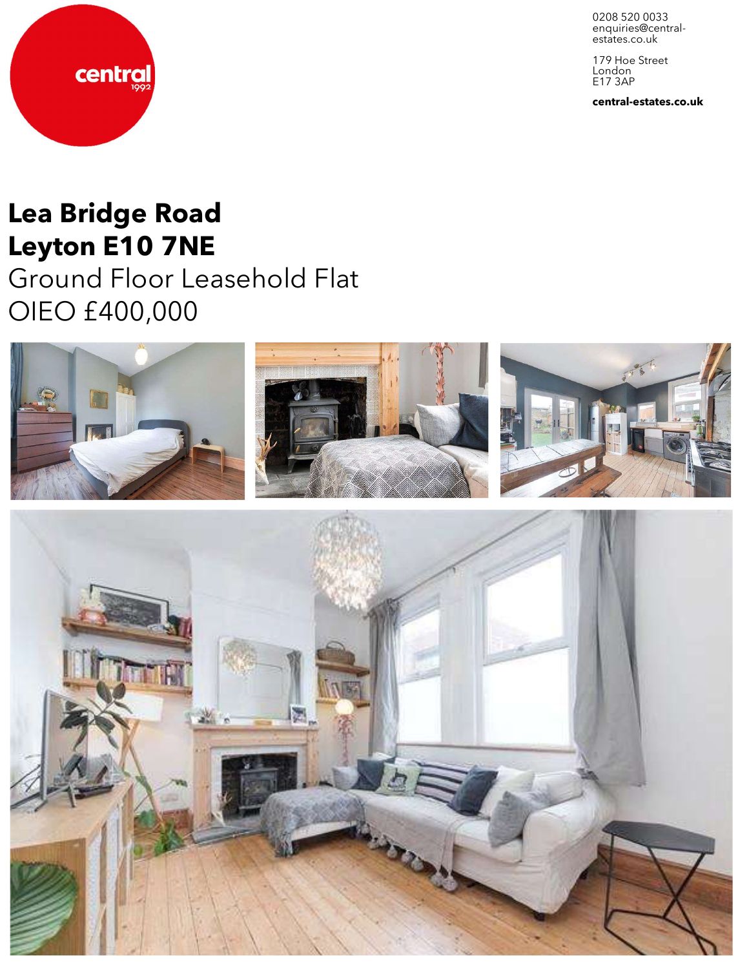0208 520 0033 enquiries@central-<br>estates.co.uk

179 Hoe Street London E17 3AP

**central-estates.co.uk**

# **Lea Bridge Road Leyton E10 7NE**

central

Ground Floor Leasehold Flat OIEO £400,000